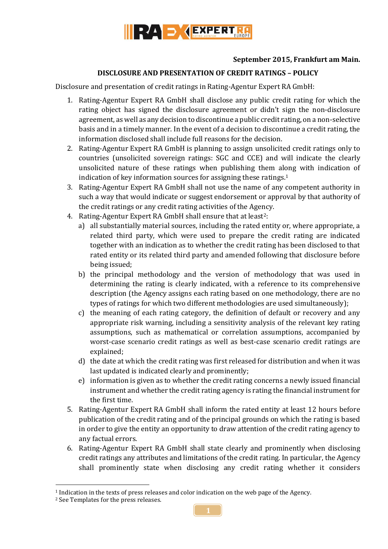

## **September 2015, Frankfurt am Main.**

## **DISCLOSURE AND PRESENTATION OF CREDIT RATINGS – POLICY**

Disclosure and presentation of credit ratings in Rating-Agentur Expert RA GmbH:

- 1. Rating-Agentur Expert RA GmbH shall disclose any public credit rating for which the rating object has signed the disclosure agreement or didn't sign the non-disclosure agreement, as well as any decision to discontinue a public credit rating, on a non-selective basis and in a timely manner. In the event of a decision to discontinue a credit rating, the information disclosed shall include full reasons for the decision.
- 2. Rating-Agentur Expert RA GmbH is planning to assign unsolicited credit ratings only to countries (unsolicited sovereign ratings: SGC and CCE) and will indicate the clearly unsolicited nature of these ratings when publishing them along with indication of indication of key information sources for assigning these ratings. 1
- 3. Rating-Agentur Expert RA GmbH shall not use the name of any competent authority in such a way that would indicate or suggest endorsement or approval by that authority of the credit ratings or any credit rating activities of the Agency.
- 4. Rating-Agentur Expert RA GmbH shall ensure that at least<sup>2</sup>:
	- a) all substantially material sources, including the rated entity or, where appropriate, a related third party, which were used to prepare the credit rating are indicated together with an indication as to whether the credit rating has been disclosed to that rated entity or its related third party and amended following that disclosure before being issued;
	- b) the principal methodology and the version of methodology that was used in determining the rating is clearly indicated, with a reference to its comprehensive description (the Agency assigns each rating based on one methodology, there are no types of ratings for which two different methodologies are used simultaneously);
	- c) the meaning of each rating category, the definition of default or recovery and any appropriate risk warning, including a sensitivity analysis of the relevant key rating assumptions, such as mathematical or correlation assumptions, accompanied by worst-case scenario credit ratings as well as best-case scenario credit ratings are explained;
	- d) the date at which the credit rating was first released for distribution and when it was last updated is indicated clearly and prominently;
	- e) information is given as to whether the credit rating concerns a newly issued financial instrument and whether the credit rating agency is rating the financial instrument for the first time.
- 5. Rating-Agentur Expert RA GmbH shall inform the rated entity at least 12 hours before publication of the credit rating and of the principal grounds on which the rating is based in order to give the entity an opportunity to draw attention of the credit rating agency to any factual errors.
- 6. Rating-Agentur Expert RA GmbH shall state clearly and prominently when disclosing credit ratings any attributes and limitations of the credit rating. In particular, the Agency shall prominently state when disclosing any credit rating whether it considers

1

<sup>1</sup> Indication in the texts of press releases and color indication on the web page of the Agency.

<sup>2</sup> See Templates for the press releases.